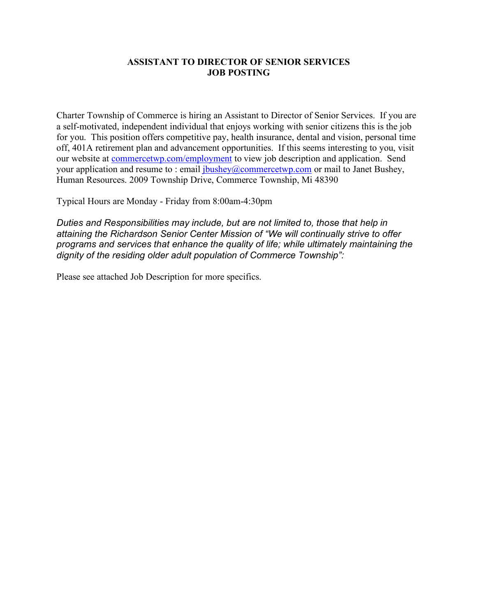#### **ASSISTANT TO DIRECTOR OF SENIOR SERVICES JOB POSTING**

Charter Township of Commerce is hiring an Assistant to Director of Senior Services. If you are a self-motivated, independent individual that enjoys working with senior citizens this is the job for you. This position offers competitive pay, health insurance, dental and vision, personal time off, 401A retirement plan and advancement opportunities. If this seems interesting to you, visit our website at commercetwp.com/employment to view job description and application. Send your application and resume to : email  $ibushey@commerctwp.com$  or mail to Janet Bushey, Human Resources. 2009 Township Drive, Commerce Township, Mi 48390

Typical Hours are Monday - Friday from 8:00am-4:30pm

*Duties and Responsibilities may include, but are not limited to, those that help in attaining the Richardson Senior Center Mission of "We will continually strive to offer programs and services that enhance the quality of life; while ultimately maintaining the dignity of the residing older adult population of Commerce Township":*

Please see attached Job Description for more specifics.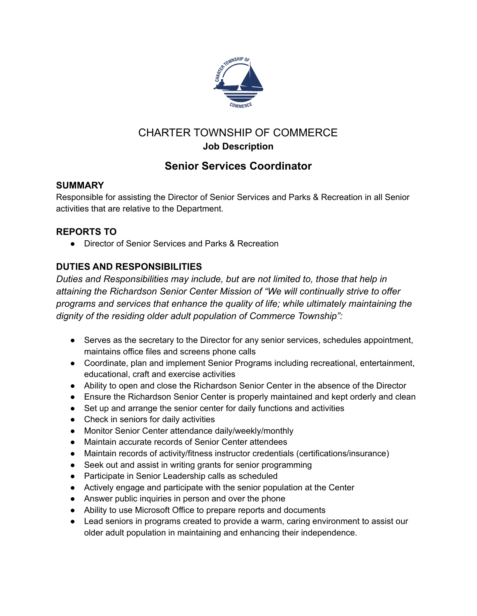

# CHARTER TOWNSHIP OF COMMERCE **Job Description**

# **Senior Services Coordinator**

## **SUMMARY**

Responsible for assisting the Director of Senior Services and Parks & Recreation in all Senior activities that are relative to the Department.

## **REPORTS TO**

● Director of Senior Services and Parks & Recreation

# **DUTIES AND RESPONSIBILITIES**

*Duties and Responsibilities may include, but are not limited to, those that help in attaining the Richardson Senior Center Mission of "We will continually strive to offer programs and services that enhance the quality of life; while ultimately maintaining the dignity of the residing older adult population of Commerce Township":*

- Serves as the secretary to the Director for any senior services, schedules appointment, maintains office files and screens phone calls
- Coordinate, plan and implement Senior Programs including recreational, entertainment, educational, craft and exercise activities
- Ability to open and close the Richardson Senior Center in the absence of the Director
- Ensure the Richardson Senior Center is properly maintained and kept orderly and clean
- Set up and arrange the senior center for daily functions and activities
- Check in seniors for daily activities
- Monitor Senior Center attendance daily/weekly/monthly
- Maintain accurate records of Senior Center attendees
- Maintain records of activity/fitness instructor credentials (certifications/insurance)
- Seek out and assist in writing grants for senior programming
- Participate in Senior Leadership calls as scheduled
- Actively engage and participate with the senior population at the Center
- Answer public inquiries in person and over the phone
- Ability to use Microsoft Office to prepare reports and documents
- Lead seniors in programs created to provide a warm, caring environment to assist our older adult population in maintaining and enhancing their independence.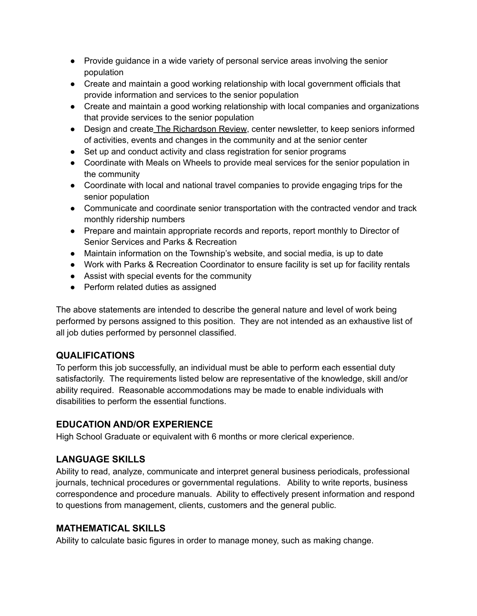- Provide guidance in a wide variety of personal service areas involving the senior population
- Create and maintain a good working relationship with local government officials that provide information and services to the senior population
- Create and maintain a good working relationship with local companies and organizations that provide services to the senior population
- Design and create The Richardson Review, center newsletter, to keep seniors informed of activities, events and changes in the community and at the senior center
- Set up and conduct activity and class registration for senior programs
- Coordinate with Meals on Wheels to provide meal services for the senior population in the community
- Coordinate with local and national travel companies to provide engaging trips for the senior population
- Communicate and coordinate senior transportation with the contracted vendor and track monthly ridership numbers
- Prepare and maintain appropriate records and reports, report monthly to Director of Senior Services and Parks & Recreation
- Maintain information on the Township's website, and social media, is up to date
- Work with Parks & Recreation Coordinator to ensure facility is set up for facility rentals
- Assist with special events for the community
- Perform related duties as assigned

The above statements are intended to describe the general nature and level of work being performed by persons assigned to this position. They are not intended as an exhaustive list of all job duties performed by personnel classified.

### **QUALIFICATIONS**

To perform this job successfully, an individual must be able to perform each essential duty satisfactorily. The requirements listed below are representative of the knowledge, skill and/or ability required. Reasonable accommodations may be made to enable individuals with disabilities to perform the essential functions.

## **EDUCATION AND/OR EXPERIENCE**

High School Graduate or equivalent with 6 months or more clerical experience.

## **LANGUAGE SKILLS**

Ability to read, analyze, communicate and interpret general business periodicals, professional journals, technical procedures or governmental regulations. Ability to write reports, business correspondence and procedure manuals. Ability to effectively present information and respond to questions from management, clients, customers and the general public.

### **MATHEMATICAL SKILLS**

Ability to calculate basic figures in order to manage money, such as making change.